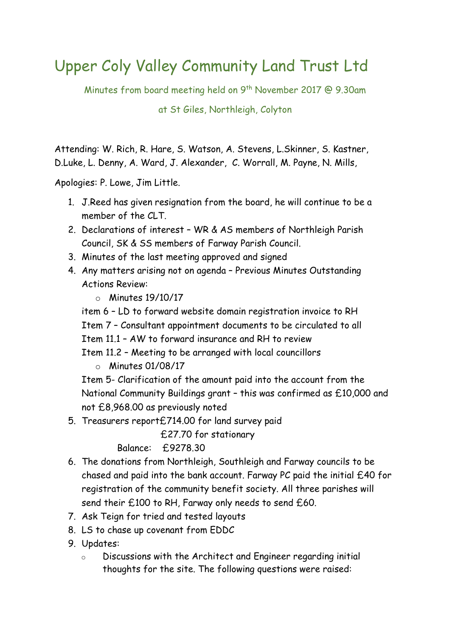## Upper Coly Valley Community Land Trust Ltd

Minutes from board meeting held on 9<sup>th</sup> November 2017 @ 9.30am

at St Giles, Northleigh, Colyton

Attending: W. Rich, R. Hare, S. Watson, A. Stevens, L.Skinner, S. Kastner, D.Luke, L. Denny, A. Ward, J. Alexander, C. Worrall, M. Payne, N. Mills,

Apologies: P. Lowe, Jim Little.

- 1. J.Reed has given resignation from the board, he will continue to be a member of the CLT.
- 2. Declarations of interest WR & AS members of Northleigh Parish Council, SK & SS members of Farway Parish Council.
- 3. Minutes of the last meeting approved and signed
- 4. Any matters arising not on agenda Previous Minutes Outstanding Actions Review:
	- $\circ$  Minutes 19/10/17

item 6 – LD to forward website domain registration invoice to RH Item 7 – Consultant appointment documents to be circulated to all Item 11.1 – AW to forward insurance and RH to review Item 11.2 – Meeting to be arranged with local councillors

 $\circ$  Minutes 01/08/17

Item 5- Clarification of the amount paid into the account from the National Community Buildings grant – this was confirmed as £10,000 and not £8,968.00 as previously noted

5. Treasurers report£714.00 for land survey paid

£27.70 for stationary

Balance: £9278.30

- 6. The donations from Northleigh, Southleigh and Farway councils to be chased and paid into the bank account. Farway PC paid the initial £40 for registration of the community benefit society. All three parishes will send their £100 to RH, Farway only needs to send £60.
- 7. Ask Teign for tried and tested layouts
- 8. LS to chase up covenant from EDDC
- 9. Updates:
	- o Discussions with the Architect and Engineer regarding initial thoughts for the site. The following questions were raised: